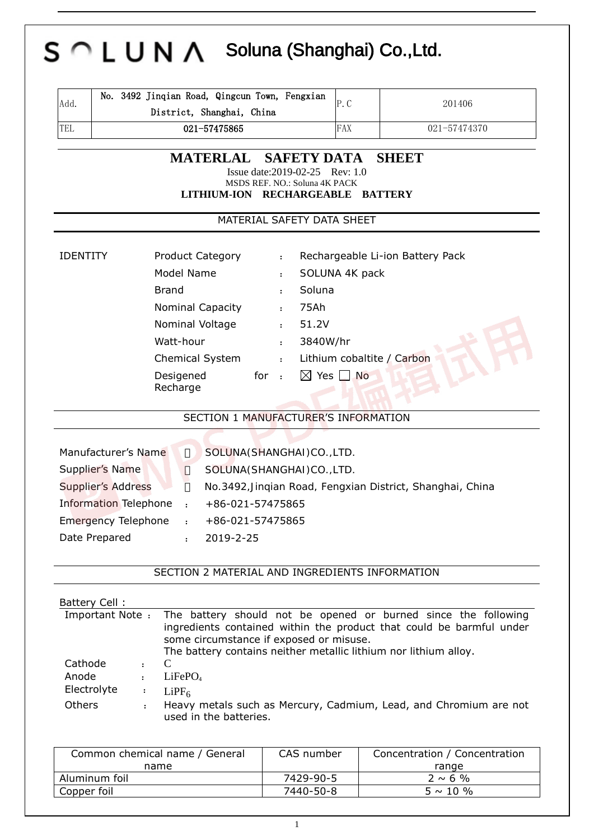| Add.<br><b>TEL</b>                                              | District, Shanghai, China<br>021-57475865      | P.C<br><b>FAX</b>                | 201406                                                               |
|-----------------------------------------------------------------|------------------------------------------------|----------------------------------|----------------------------------------------------------------------|
|                                                                 |                                                |                                  |                                                                      |
|                                                                 |                                                |                                  | 021-57474370                                                         |
|                                                                 | <b>MATERLAL</b>                                | <b>SAFETY DATA</b>               | <b>SHEET</b>                                                         |
|                                                                 | MSDS REF. NO.: Soluna 4K PACK                  | Issue date: 2019-02-25 Rev: 1.0  |                                                                      |
|                                                                 | LITHIUM-ION RECHARGEABLE BATTERY               |                                  |                                                                      |
|                                                                 |                                                | MATERIAL SAFETY DATA SHEET       |                                                                      |
| <b>IDENTITY</b>                                                 | <b>Product Category</b><br>$\ddot{\cdot}$      | Rechargeable Li-ion Battery Pack |                                                                      |
|                                                                 | Model Name<br>$\ddot{\cdot}$                   | SOLUNA 4K pack                   |                                                                      |
|                                                                 | <b>Brand</b><br>$\ddot{\cdot}$                 | Soluna                           |                                                                      |
| Nominal Capacity<br>75Ah<br>$\ddot{\cdot}$                      |                                                |                                  |                                                                      |
|                                                                 | Nominal Voltage<br>$\ddot{\cdot}$              | 51.2V                            |                                                                      |
| Watt-hour<br>3840W/hr<br>$\ddot{\cdot}$                         |                                                |                                  |                                                                      |
| Lithium cobaltite / Carbon<br>Chemical System<br>$\ddot{\cdot}$ |                                                |                                  |                                                                      |
|                                                                 | for $\cdot$<br>Desigened                       | $\boxtimes$ Yes $\Box$ No        |                                                                      |
|                                                                 | Recharge                                       |                                  |                                                                      |
|                                                                 | SECTION 1 MANUFACTURER'S INFORMATION           |                                  |                                                                      |
|                                                                 |                                                |                                  |                                                                      |
| Manufacturer's Name                                             | SOLUNA(SHANGHAI)CO., LTD.                      |                                  |                                                                      |
| Supplier's Name                                                 | SOLUNA(SHANGHAI)CO., LTD.                      |                                  |                                                                      |
| <b>Supplier's Address</b>                                       |                                                |                                  | No.3492, Jinqian Road, Fengxian District, Shanghai, China            |
| <b>Information Telephone</b>                                    | +86-021-57475865                               |                                  |                                                                      |
| <b>Emergency Telephone</b>                                      | +86-021-57475865                               |                                  |                                                                      |
| Date Prepared                                                   | 2019-2-25<br>$\mathbf{z}$                      |                                  |                                                                      |
|                                                                 | SECTION 2 MATERIAL AND INGREDIENTS INFORMATION |                                  |                                                                      |
|                                                                 |                                                |                                  |                                                                      |
| Battery Cell:<br>Important Note:                                |                                                |                                  | The battery should not be opened or burned since the following       |
|                                                                 | some circumstance if exposed or misuse.        |                                  | ingredients contained within the product that could be barmful under |

|                                                | The battery contains neither metallic lithium nor lithium alloy. |
|------------------------------------------------|------------------------------------------------------------------|
| Cathode : C                                    |                                                                  |
| Anode $\qquad \qquad : \qquad \text{LiFePO}_4$ |                                                                  |
| Electrolyte                                    |                                                                  |

Electrolyte : LiPF<sub>6</sub><br>Others : Heavy theavy metals such as Mercury, Cadmium, Lead, and Chromium are not used in the batteries.

| Common chemical name / General | CAS number | Concentration / Concentration |
|--------------------------------|------------|-------------------------------|
| name                           |            | range                         |
| Aluminum foil                  | 7429-90-5  | $2 \sim 6 \%$                 |
| Copper foil                    | 7440-50-8  | $5 \sim 10 \%$                |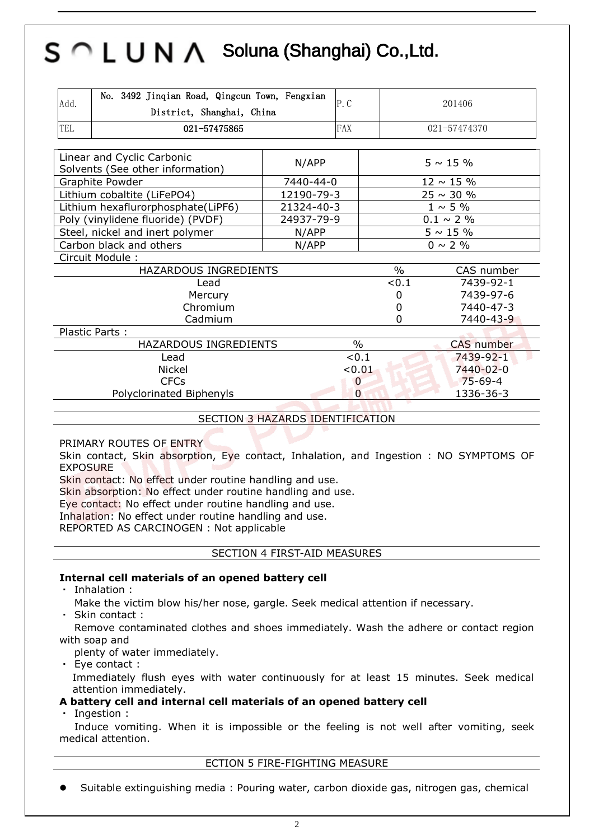| Add.                            | No. 3492 Jinqian Road, Qingcun Town, Fengxian<br>P.C<br>District, Shanghai, China |            |                | 201406             |  |
|---------------------------------|-----------------------------------------------------------------------------------|------------|----------------|--------------------|--|
| TEL                             | 021-57475865                                                                      |            | <b>FAX</b>     | 021-57474370       |  |
|                                 |                                                                                   |            |                |                    |  |
|                                 | Linear and Cyclic Carbonic<br>Solvents (See other information)                    | N/APP      | $5 \sim 15 \%$ |                    |  |
|                                 | Graphite Powder                                                                   | 7440-44-0  |                | $12 \sim 15 \%$    |  |
|                                 | Lithium cobaltite (LiFePO4)                                                       | 12190-79-3 |                | $25 \sim 30 \%$    |  |
|                                 | Lithium hexaflurorphosphate(LiPF6)                                                | 21324-40-3 |                | $1 \sim 5\%$       |  |
|                                 | Poly (vinylidene fluoride) (PVDF)                                                 | 24937-79-9 |                | $0.1 \sim 2 \%$    |  |
| Steel, nickel and inert polymer |                                                                                   | N/APP      |                | $5 \sim 15 \%$     |  |
| Carbon black and others         |                                                                                   | N/APP      |                | $0 \sim 2 \%$      |  |
|                                 | Circuit Module:                                                                   |            |                |                    |  |
|                                 | HAZARDOUS INGREDIENTS                                                             |            |                | $\%$<br>CAS number |  |
|                                 | Lead                                                                              |            |                | < 0.1<br>7439-92-1 |  |
|                                 | Mercury                                                                           |            | $\Omega$       | 7439-97-6          |  |
|                                 | Chromium                                                                          |            | $\Omega$       | 7440-47-3          |  |
| Cadmium                         |                                                                                   |            | $\Omega$       | 7440-43-9          |  |
| Plastic Parts:                  |                                                                                   |            |                |                    |  |
|                                 | HAZARDOUS INGREDIENTS                                                             |            | $\%$           | <b>CAS</b> number  |  |
| Lead                            |                                                                                   |            | < 0.1          | 7439-92-1          |  |
| Nickel                          |                                                                                   |            | < 0.01         | 7440-02-0          |  |
|                                 | <b>CFCs</b>                                                                       |            | $\mathbf 0$    | $75 - 69 - 4$      |  |
|                                 | Polyclorinated Biphenyls                                                          |            | $\overline{0}$ | 1336-36-3          |  |
|                                 |                                                                                   |            |                |                    |  |

SECTION 3 HAZARDS IDENTIFICATION

PRIMARY ROUTES OF ENTRY

Skin contact, Skin absorption, Eye contact, Inhalation, and Ingestion : NO SYMPTOMS OF EXPOSURE

Skin contact: No effect under routine handling and use.

Skin absorption: No effect under routine handling and use.

Eye contact: No effect under routine handling and use.

Inhalation: No effect under routine handling and use.

REPORTED AS CARCINOGEN : Not applicable

SECTION 4 FIRST-AID MEASURES

#### **Internal cell materials of an opened battery cell**

・ Inhalation :

Make the victim blow his/her nose, gargle. Seek medical attention if necessary.

Skin contact:

Remove contaminated clothes and shoes immediately. Wash the adhere or contact region with soap and

plenty of water immediately.

・ Eye contact : Immediately flush eyes with water continuously for at least 15 minutes. Seek medical attention immediately.

### **A battery cell and internal cell materials of an opened battery cell**

Ingestion :

Induce vomiting. When it is impossible or the feeling is not well after vomiting, seek medical attention.

#### ECTION 5 FIRE-FIGHTING MEASURE

Suitable extinguishing media : Pouring water, carbon dioxide gas, nitrogen gas, chemical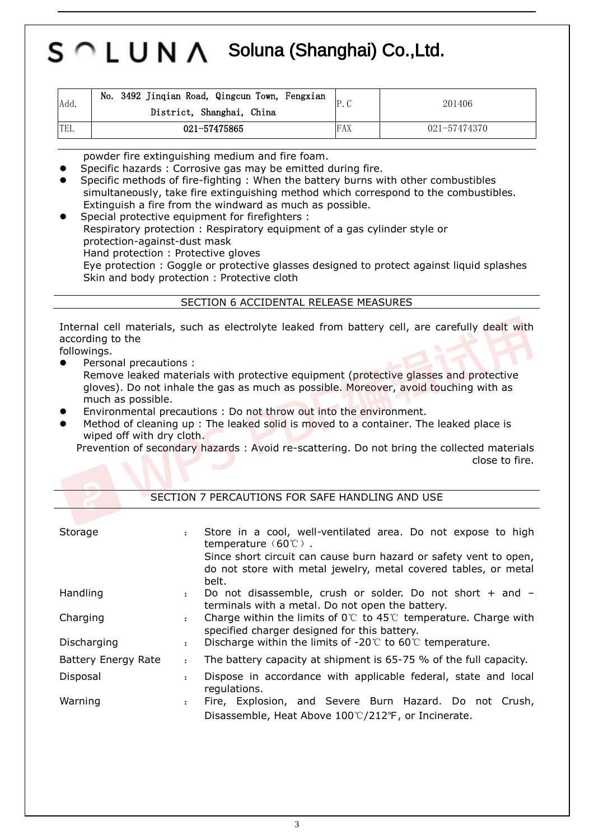| Add. | No. 3492 Jinqian Road, Qingcun Town, Fengxian<br>District, Shanghai, China |     | 201406       |
|------|----------------------------------------------------------------------------|-----|--------------|
| TEL  | 021-57475865                                                               | FAX | 021-57474370 |

powder fire extinguishing medium and fire foam.

Specific hazards : Corrosive gas may be emitted during fire.

 Specific methods of fire-fighting : When the battery burns with other combustibles simultaneously, take fire extinguishing method which correspond to the combustibles. Extinguish a fire from the windward as much as possible.

 Special protective equipment for firefighters : Respiratory protection : Respiratory equipment of a gas cylinder style or protection-against-dust mask Hand protection : Protective gloves Eye protection : Goggle or protective glasses designed to protect against liquid splashes Skin and body protection : Protective cloth

#### SECTION 6 ACCIDENTAL RELEASE MEASURES

Internal cell materials, such as electrolyte leaked from battery cell, are carefully dealt with according to the

followings.

Personal precautions :

Remove leaked materials with protective equipment (protective glasses and protective gloves). Do not inhale the gas as much as possible. Moreover, avoid touching with as much as possible.

- Environmental precautions : Do not throw out into the environment.
- Method of cleaning up : The leaked solid is moved to a container. The leaked place is wiped off with dry cloth.

Prevention of secondary hazards : Avoid re-scattering. Do not bring the collected materials close to fire.

| SECTION 7 PERCAUTIONS FOR SAFE HANDLING AND USE |                      |                                                                                                                                               |  |  |
|-------------------------------------------------|----------------------|-----------------------------------------------------------------------------------------------------------------------------------------------|--|--|
|                                                 |                      |                                                                                                                                               |  |  |
| Storage                                         | $\ddot{\cdot}$       | Store in a cool, well-ventilated area. Do not expose to high<br>temperature $(60^{\circ}\text{C})$ .                                          |  |  |
|                                                 |                      | Since short circuit can cause burn hazard or safety vent to open,<br>do not store with metal jewelry, metal covered tables, or metal<br>belt. |  |  |
| Handling                                        | $\ddot{\phantom{a}}$ | Do not disassemble, crush or solder. Do not short + and -<br>terminals with a metal. Do not open the battery.                                 |  |  |
| Charging                                        | $\ddot{\phantom{a}}$ | Charge within the limits of $0^\circ\text{C}$ to 45°C temperature. Charge with<br>specified charger designed for this battery.                |  |  |
| Discharging                                     |                      | Discharge within the limits of $-20^{\circ}$ to 60 $^{\circ}$ temperature.                                                                    |  |  |
| Battery Energy Rate                             | $\ddot{\phantom{a}}$ | The battery capacity at shipment is 65-75 % of the full capacity.                                                                             |  |  |
| Disposal                                        | $\ddot{\phantom{a}}$ | Dispose in accordance with applicable federal, state and local<br>regulations.                                                                |  |  |
| Warning                                         | $\ddot{\phantom{a}}$ | Fire, Explosion, and Severe Burn Hazard. Do not Crush,<br>Disassemble, Heat Above 100°C/212°F, or Incinerate.                                 |  |  |
|                                                 |                      |                                                                                                                                               |  |  |

#### SECTION 7 PERCAUTIONS FOR SAFE HANDLING AND USE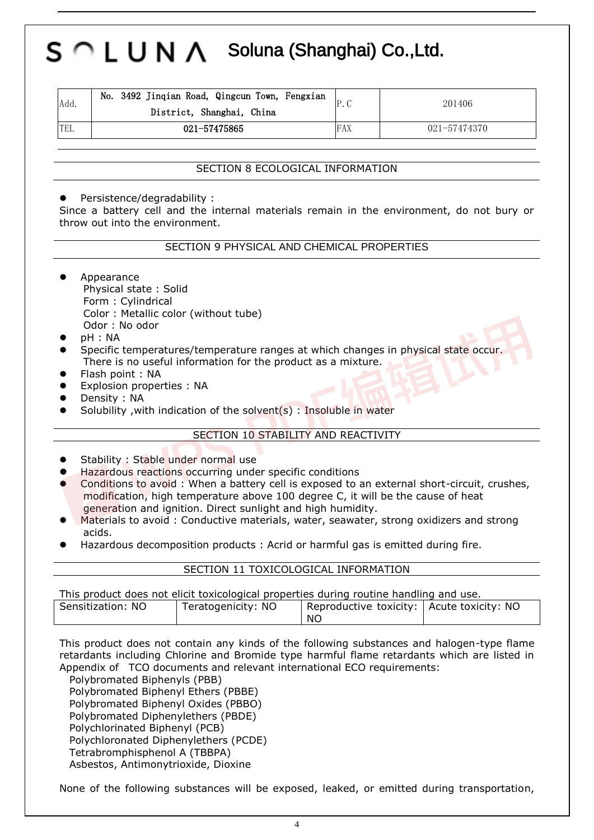| Add. | No. 3492 Jinqian Road, Qingcun Town, Fengxian<br>District, Shanghai, China |     | 201406           |
|------|----------------------------------------------------------------------------|-----|------------------|
| TEL  | 021-57475865                                                               | FAX | $021 - 57474370$ |

#### SECTION 8 ECOLOGICAL INFORMATION

Persistence/degradability :

Since a battery cell and the internal materials remain in the environment, do not bury or throw out into the environment.

#### SECTION 9 PHYSICAL AND CHEMICAL PROPERTIES

- Appearance Physical state : Solid Form : Cylindrical Color : Metallic color (without tube) Odor : No odor
- pH : NA
- Specific temperatures/temperature ranges at which changes in physical state occur. There is no useful information for the product as a mixture.
- Flash point : NA
- Explosion properties : NA
- Density : NA
- Solubility ,with indication of the solvent(s) : Insoluble in water

#### SECTION 10 STABILITY AND REACTIVITY

- Stability : Stable under normal use
- Hazardous reactions occurring under specific conditions
- Conditions to avoid : When a battery cell is exposed to an external short-circuit, crushes, modification, high temperature above 100 degree C, it will be the cause of heat generation and ignition. Direct sunlight and high humidity.
- Materials to avoid : Conductive materials, water, seawater, strong oxidizers and strong acids.
- Hazardous decomposition products : Acrid or harmful gas is emitted during fire.

#### SECTION 11 TOXICOLOGICAL INFORMATION

This product does not elicit toxicological properties during routine handling and use.

| Sensitization: NO | Teratogenicity: NO | Reproductive toxicity:   Acute toxicity: NO |  |
|-------------------|--------------------|---------------------------------------------|--|
|                   |                    | NC.                                         |  |

This product does not contain any kinds of the following substances and halogen-type flame retardants including Chlorine and Bromide type harmful flame retardants which are listed in Appendix of TCO documents and relevant international ECO requirements:

Polybromated Biphenyls (PBB) Polybromated Biphenyl Ethers (PBBE) Polybromated Biphenyl Oxides (PBBO) Polybromated Diphenylethers (PBDE) Polychlorinated Biphenyl (PCB) Polychloronated Diphenylethers (PCDE) Tetrabromphisphenol A (TBBPA) Asbestos, Antimonytrioxide, Dioxine

None of the following substances will be exposed, leaked, or emitted during transportation,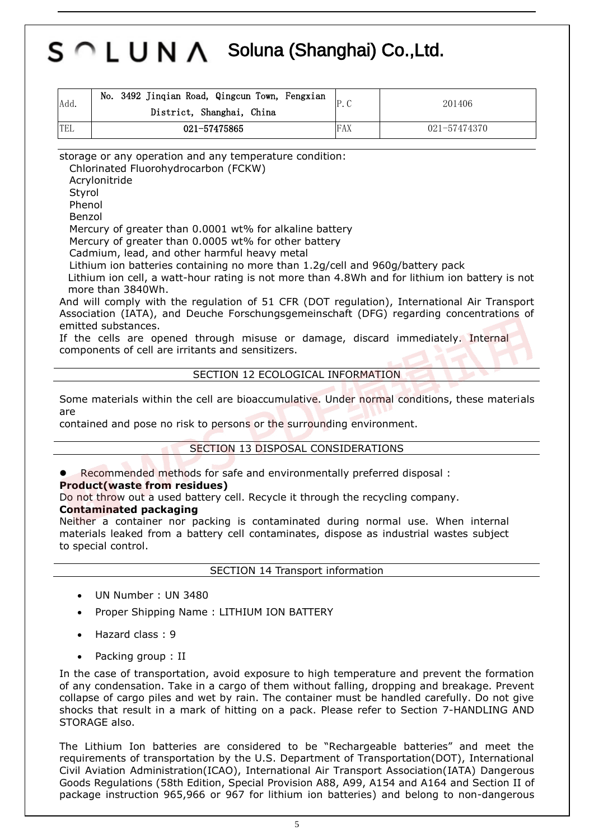| Add. | No. 3492 Jinqian Road, Qingcun Town, Fengxian<br>District, Shanghai, China |     | 201406       |
|------|----------------------------------------------------------------------------|-----|--------------|
| TEL  | 021-57475865                                                               | FAX | 021-57474370 |

storage or any operation and any temperature condition:

Chlorinated Fluorohydrocarbon (FCKW)

Acrylonitride

Styrol

Phenol Benzol

Mercury of greater than 0.0001 wt% for alkaline battery

Mercury of greater than 0.0005 wt% for other battery

Cadmium, lead, and other harmful heavy metal

Lithium ion batteries containing no more than 1.2g/cell and 960g/battery pack

Lithium ion cell, a watt-hour rating is not more than 4.8Wh and for lithium ion battery is not more than 3840Wh.

And will comply with the regulation of 51 CFR (DOT regulation), International Air Transport Association (IATA), and Deuche Forschungsgemeinschaft (DFG) regarding concentrations of emitted substances.

If the cells are opened through misuse or damage, discard immediately. Internal components of cell are irritants and sensitizers.

### SECTION 12 ECOLOGICAL INFORMATION

Some materials within the cell are bioaccumulative. Under normal conditions, these materials are

contained and pose no risk to persons or the surrounding environment.

### SECTION 13 DISPOSAL CONSIDERATIONS

Recommended methods for safe and environmentally preferred disposal :

#### **Product(waste from residues)**

Do not throw out a used battery cell. Recycle it through the recycling company.

#### **Contaminated packaging**

Neither a container nor packing is contaminated during normal use. When internal materials leaked from a battery cell contaminates, dispose as industrial wastes subject to special control.

SECTION 14 Transport information

- UN Number : UN 3480
- Proper Shipping Name : LITHIUM ION BATTERY
- Hazard class : 9
- Packing group : II

In the case of transportation, avoid exposure to high temperature and prevent the formation of any condensation. Take in a cargo of them without falling, dropping and breakage. Prevent collapse of cargo piles and wet by rain. The container must be handled carefully. Do not give shocks that result in a mark of hitting on a pack. Please refer to Section 7-HANDLING AND STORAGE also.

The Lithium Ion batteries are considered to be "Rechargeable batteries" and meet the requirements of transportation by the U.S. Department of Transportation(DOT), International Civil Aviation Administration(ICAO), International Air Transport Association(IATA) Dangerous Goods Regulations (58th Edition, Special Provision A88, A99, A154 and A164 and Section II of package instruction 965,966 or 967 for lithium ion batteries) and belong to non-dangerous